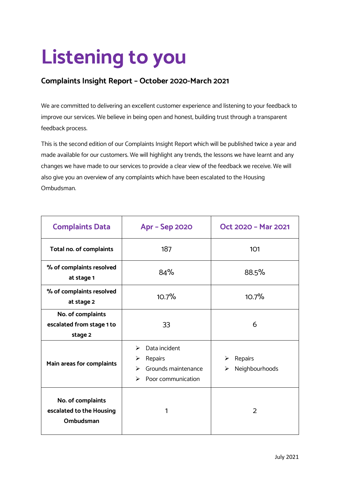# **Listening to you**

## **Complaints Insight Report – October 2020-March 2021**

We are committed to delivering an excellent customer experience and listening to your feedback to improve our services. We believe in being open and honest, building trust through a transparent feedback process.

This is the second edition of our Complaints Insight Report which will be published twice a year and made available for our customers. We will highlight any trends, the lessons we have learnt and any changes we have made to our services to provide a clear view of the feedback we receive. We will also give you an overview of any complaints which have been escalated to the Housing Ombudsman.

| <b>Complaints Data</b>                                     | <b>Apr - Sep 2020</b>                                                                     | Oct 2020 - Mar 2021                 |  |
|------------------------------------------------------------|-------------------------------------------------------------------------------------------|-------------------------------------|--|
| Total no. of complaints                                    | 187                                                                                       | 101                                 |  |
| % of complaints resolved<br>at stage 1                     | 84%                                                                                       | 88.5%                               |  |
| % of complaints resolved<br>at stage 2                     | 10.7%                                                                                     | 10.7%                               |  |
| No. of complaints<br>escalated from stage 1 to<br>stage 2  | 33                                                                                        | 6                                   |  |
| Main areas for complaints                                  | Data incident<br>➤<br>Repairs<br>➤<br>Grounds maintenance<br>➤<br>Poor communication<br>⋗ | Repairs<br>➤<br>Neighbourhoods<br>➤ |  |
| No. of complaints<br>escalated to the Housing<br>Ombudsman | 1                                                                                         | 2                                   |  |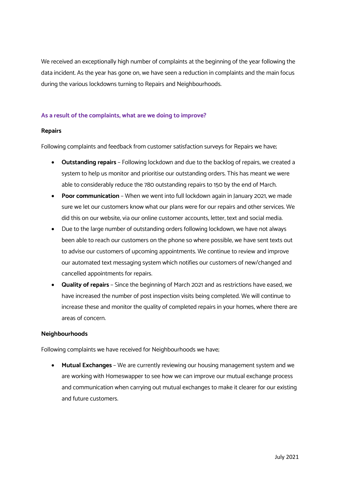We received an exceptionally high number of complaints at the beginning of the year following the data incident. As the year has gone on, we have seen a reduction in complaints and the main focus during the various lockdowns turning to Repairs and Neighbourhoods.

#### **As a result of the complaints, what are we doing to improve?**

#### **Repairs**

Following complaints and feedback from customer satisfaction surveys for Repairs we have;

- **Outstanding repairs** Following lockdown and due to the backlog of repairs, we created a system to help us monitor and prioritise our outstanding orders. This has meant we were able to considerably reduce the 780 outstanding repairs to 150 by the end of March.
- **Poor communication** When we went into full lockdown again in January 2021, we made sure we let our customers know what our plans were for our repairs and other services. We did this on our website, via our online customer accounts, letter, text and social media.
- Due to the large number of outstanding orders following lockdown, we have not always been able to reach our customers on the phone so where possible, we have sent texts out to advise our customers of upcoming appointments. We continue to review and improve our automated text messaging system which notifies our customers of new/changed and cancelled appointments for repairs.
- **Quality of repairs** Since the beginning of March 2021 and as restrictions have eased, we have increased the number of post inspection visits being completed. We will continue to increase these and monitor the quality of completed repairs in your homes, where there are areas of concern.

#### **Neighbourhoods**

Following complaints we have received for Neighbourhoods we have;

• **Mutual Exchanges** – We are currently reviewing our housing management system and we are working with Homeswapper to see how we can improve our mutual exchange process and communication when carrying out mutual exchanges to make it clearer for our existing and future customers.